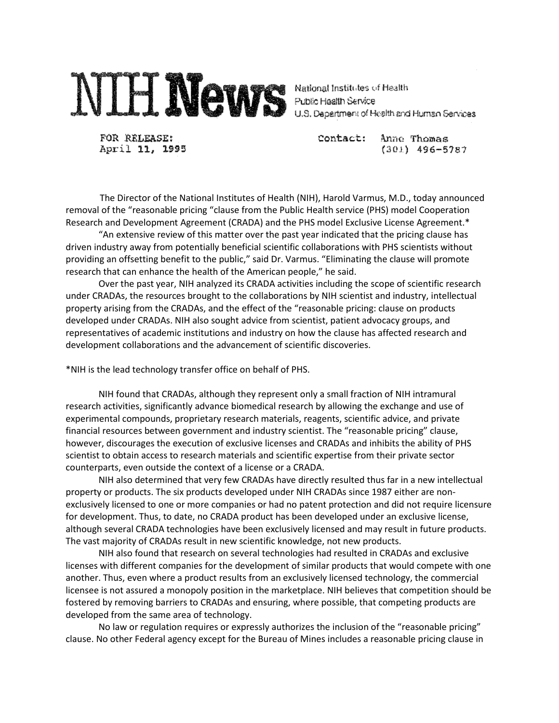

FOR RELEASE: April 11, 1995 Contact: Anne Thomas  $(301)$  496-5787

 The Director of the National Institutes of Health (NIH), Harold Varmus, M.D., today announced removal of the "reasonable pricing "clause from the Public Health service (PHS) model Cooperation Research and Development Agreement (CRADA) and the PHS model Exclusive License Agreement.\*

"An extensive review of this matter over the past year indicated that the pricing clause has driven industry away from potentially beneficial scientific collaborations with PHS scientists without providing an offsetting benefit to the public," said Dr. Varmus. "Eliminating the clause will promote research that can enhance the health of the American people," he said.

Over the past year, NIH analyzed its CRADA activities including the scope of scientific research under CRADAs, the resources brought to the collaborations by NIH scientist and industry, intellectual property arising from the CRADAs, and the effect of the "reasonable pricing: clause on products developed under CRADAs. NIH also sought advice from scientist, patient advocacy groups, and representatives of academic institutions and industry on how the clause has affected research and development collaborations and the advancement of scientific discoveries.

\*NIH is the lead technology transfer office on behalf of PHS.

NIH found that CRADAs, although they represent only a small fraction of NIH intramural research activities, significantly advance biomedical research by allowing the exchange and use of experimental compounds, proprietary research materials, reagents, scientific advice, and private financial resources between government and industry scientist. The "reasonable pricing" clause, however, discourages the execution of exclusive licenses and CRADAs and inhibits the ability of PHS scientist to obtain access to research materials and scientific expertise from their private sector counterparts, even outside the context of a license or a CRADA.

NIH also determined that very few CRADAs have directly resulted thus far in a new intellectual property or products. The six products developed under NIH CRADAs since 1987 either are nonexclusively licensed to one or more companies or had no patent protection and did not require licensure for development. Thus, to date, no CRADA product has been developed under an exclusive license, although several CRADA technologies have been exclusively licensed and may result in future products. The vast majority of CRADAs result in new scientific knowledge, not new products.

NIH also found that research on several technologies had resulted in CRADAs and exclusive licenses with different companies for the development of similar products that would compete with one another. Thus, even where a product results from an exclusively licensed technology, the commercial licensee is not assured a monopoly position in the marketplace. NIH believes that competition should be fostered by removing barriers to CRADAs and ensuring, where possible, that competing products are developed from the same area of technology.

No law or regulation requires or expressly authorizes the inclusion of the "reasonable pricing" clause. No other Federal agency except for the Bureau of Mines includes a reasonable pricing clause in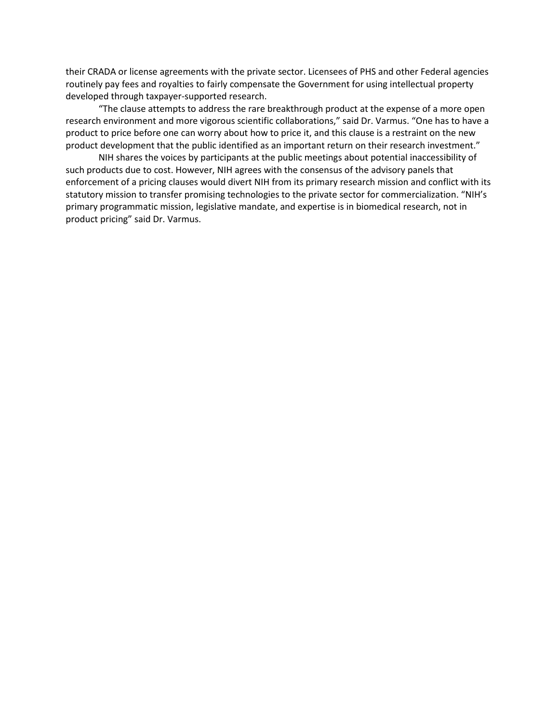their CRADA or license agreements with the private sector. Licensees of PHS and other Federal agencies routinely pay fees and royalties to fairly compensate the Government for using intellectual property developed through taxpayer-supported research.

"The clause attempts to address the rare breakthrough product at the expense of a more open research environment and more vigorous scientific collaborations," said Dr. Varmus. "One has to have a product to price before one can worry about how to price it, and this clause is a restraint on the new product development that the public identified as an important return on their research investment."

NIH shares the voices by participants at the public meetings about potential inaccessibility of such products due to cost. However, NIH agrees with the consensus of the advisory panels that enforcement of a pricing clauses would divert NIH from its primary research mission and conflict with its statutory mission to transfer promising technologies to the private sector for commercialization. "NIH's primary programmatic mission, legislative mandate, and expertise is in biomedical research, not in product pricing" said Dr. Varmus.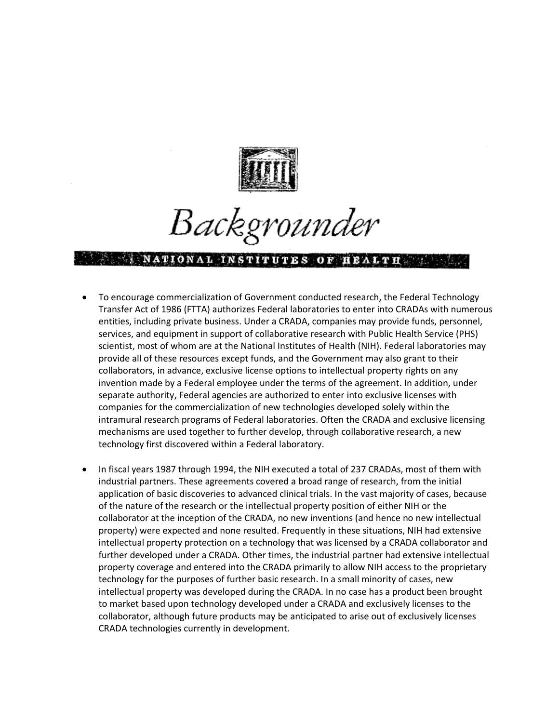

Backgrounder

## NATIONAL INSTITUTES OF HEALTH AND

- To encourage commercialization of Government conducted research, the Federal Technology Transfer Act of 1986 (FTTA) authorizes Federal laboratories to enter into CRADAs with numerous entities, including private business. Under a CRADA, companies may provide funds, personnel, services, and equipment in support of collaborative research with Public Health Service (PHS) scientist, most of whom are at the National Institutes of Health (NIH). Federal laboratories may provide all of these resources except funds, and the Government may also grant to their collaborators, in advance, exclusive license options to intellectual property rights on any invention made by a Federal employee under the terms of the agreement. In addition, under separate authority, Federal agencies are authorized to enter into exclusive licenses with companies for the commercialization of new technologies developed solely within the intramural research programs of Federal laboratories. Often the CRADA and exclusive licensing mechanisms are used together to further develop, through collaborative research, a new technology first discovered within a Federal laboratory.
- In fiscal years 1987 through 1994, the NIH executed a total of 237 CRADAs, most of them with industrial partners. These agreements covered a broad range of research, from the initial application of basic discoveries to advanced clinical trials. In the vast majority of cases, because of the nature of the research or the intellectual property position of either NIH or the collaborator at the inception of the CRADA, no new inventions (and hence no new intellectual property) were expected and none resulted. Frequently in these situations, NIH had extensive intellectual property protection on a technology that was licensed by a CRADA collaborator and further developed under a CRADA. Other times, the industrial partner had extensive intellectual property coverage and entered into the CRADA primarily to allow NIH access to the proprietary technology for the purposes of further basic research. In a small minority of cases, new intellectual property was developed during the CRADA. In no case has a product been brought to market based upon technology developed under a CRADA and exclusively licenses to the collaborator, although future products may be anticipated to arise out of exclusively licenses CRADA technologies currently in development.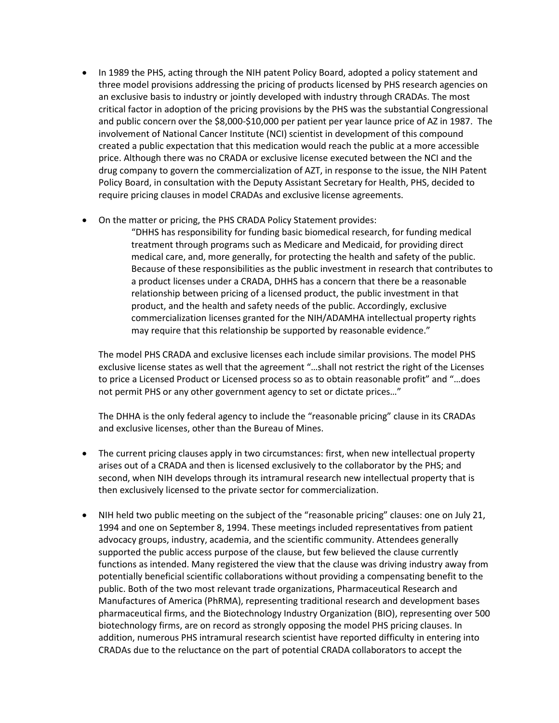- In 1989 the PHS, acting through the NIH patent Policy Board, adopted a policy statement and three model provisions addressing the pricing of products licensed by PHS research agencies on an exclusive basis to industry or jointly developed with industry through CRADAs. The most critical factor in adoption of the pricing provisions by the PHS was the substantial Congressional and public concern over the \$8,000-\$10,000 per patient per year launce price of AZ in 1987. The involvement of National Cancer Institute (NCI) scientist in development of this compound created a public expectation that this medication would reach the public at a more accessible price. Although there was no CRADA or exclusive license executed between the NCI and the drug company to govern the commercialization of AZT, in response to the issue, the NIH Patent Policy Board, in consultation with the Deputy Assistant Secretary for Health, PHS, decided to require pricing clauses in model CRADAs and exclusive license agreements.
- On the matter or pricing, the PHS CRADA Policy Statement provides:

"DHHS has responsibility for funding basic biomedical research, for funding medical treatment through programs such as Medicare and Medicaid, for providing direct medical care, and, more generally, for protecting the health and safety of the public. Because of these responsibilities as the public investment in research that contributes to a product licenses under a CRADA, DHHS has a concern that there be a reasonable relationship between pricing of a licensed product, the public investment in that product, and the health and safety needs of the public. Accordingly, exclusive commercialization licenses granted for the NIH/ADAMHA intellectual property rights may require that this relationship be supported by reasonable evidence."

The model PHS CRADA and exclusive licenses each include similar provisions. The model PHS exclusive license states as well that the agreement "…shall not restrict the right of the Licenses to price a Licensed Product or Licensed process so as to obtain reasonable profit" and "…does not permit PHS or any other government agency to set or dictate prices…"

The DHHA is the only federal agency to include the "reasonable pricing" clause in its CRADAs and exclusive licenses, other than the Bureau of Mines.

- The current pricing clauses apply in two circumstances: first, when new intellectual property arises out of a CRADA and then is licensed exclusively to the collaborator by the PHS; and second, when NIH develops through its intramural research new intellectual property that is then exclusively licensed to the private sector for commercialization.
- NIH held two public meeting on the subject of the "reasonable pricing" clauses: one on July 21, 1994 and one on September 8, 1994. These meetings included representatives from patient advocacy groups, industry, academia, and the scientific community. Attendees generally supported the public access purpose of the clause, but few believed the clause currently functions as intended. Many registered the view that the clause was driving industry away from potentially beneficial scientific collaborations without providing a compensating benefit to the public. Both of the two most relevant trade organizations, Pharmaceutical Research and Manufactures of America (PhRMA), representing traditional research and development bases pharmaceutical firms, and the Biotechnology Industry Organization (BIO), representing over 500 biotechnology firms, are on record as strongly opposing the model PHS pricing clauses. In addition, numerous PHS intramural research scientist have reported difficulty in entering into CRADAs due to the reluctance on the part of potential CRADA collaborators to accept the